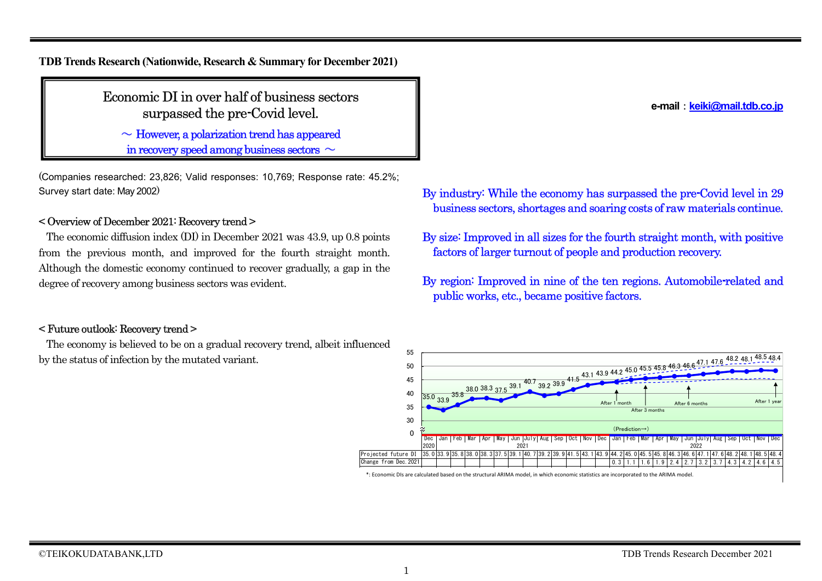**TDB Trends Research (Nationwide, Research & Summary for December 2021)**

Economic DI in over half of business sectors surpassed the pre-Covid level.

 $\sim$  However, a polarization trend has appeared

in recovery speed among business sectors  $\sim$ 

(Companies researched: 23,826; Valid responses: 10,769; Response rate: 45.2%; Survey start date: May 2002)

## < Overview of December 2021: Recovery trend >

The economic diffusion index (DI) in December 2021 was 43.9, up 0.8 points from the previous month, and improved for the fourth straight month. Although the domestic economy continued to recover gradually, a gap in the degree of recovery among business sectors was evident.

### < Future outlook: Recovery trend >

The economy is believed to be on a gradual recovery trend, albeit influenced by the status of infection by the mutated variant.

**e-mail**:**keiki@mail.tdb.co.jp**

- By industry: While the economy has surpassed the pre-Covid level in 29 business sectors, shortages and soaring costs of raw materials continue.
- By size: Improved in all sizes for the fourth straight month, with positive factors of larger turnout of people and production recovery.
- By region: Improved in nine of the ten regions. Automobile-related and public works, etc., became positive factors.



<sup>\*:</sup> Economic DIs are calculated based on the structural ARIMA model, in which economic statistics are incorporated to the ARIMA model. . LOUIDHIIL DIS AIT CAILMATED DASED ON THE STIBULUM ANIMA MODEL, AN WHICH ECONOMIC STATISTICS ATT MICHOLOGICU OF HE ANNIMA MODEL.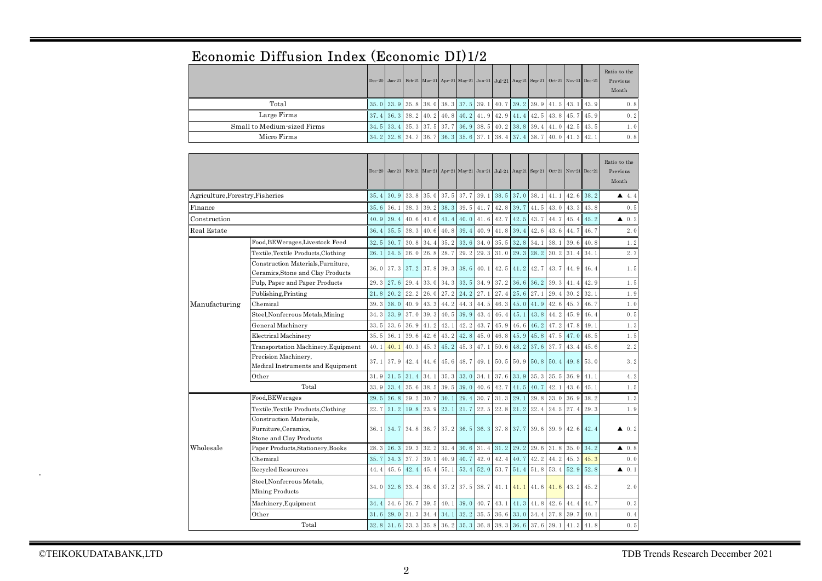# Economic Diffusion Index (Economic DI)1/2

|                             |  |  |                                                                                                       |  |  |  | Dec-20 Jan-21 Feb-21 Mar-21 Apr-21 May-21 Jun-21 Jul-21 Aug-21 Sep-21 Oct-21 Nov-21 Dec-21            | Ratio to the<br>Previous<br>Month |
|-----------------------------|--|--|-------------------------------------------------------------------------------------------------------|--|--|--|-------------------------------------------------------------------------------------------------------|-----------------------------------|
| Total                       |  |  |                                                                                                       |  |  |  | 35, 0   33, 9   35, 8   38, 0   38, 3   37, 5   39, 1   40, 7   39, 2   39, 9   41, 5   43, 1   43, 9 | 0.8                               |
| Large Firms                 |  |  |                                                                                                       |  |  |  | $37, 4$ 36, 3 38, 2 40, 2 40, 8 40, 2 41, 9 42, 9 41, 4 42, 5 43, 8 45, 7 45, 9                       | 0.2                               |
| Small to Medium-sized Firms |  |  | 34, 5   33, 4   35, 3   37, 5   37, 7   36, 9   38, 5   40, 2   38, 8   39, 4   41, 0   42, 5   43, 5 |  |  |  |                                                                                                       | 1. O                              |
| Micro Firms                 |  |  | 34, 2 32, 8 34, 7 36, 7 36, 3 35, 6 37, 1 38, 4 37, 4 38, 7 40, 0 41, 3 42, 1                         |  |  |  |                                                                                                       | 0.8                               |

|                                  |                                                      | $Dec-20$    | $Jan-21$    |             |             |      |                     | Feb-21 Mar-21 Apr-21 May-21 Jun-21 Jul-21 Aug-21 Sep-21 Oct-21 Nov-21 Dec-21 |      |      |             |      |      |      | Ratio to the<br>Previous<br>Month |
|----------------------------------|------------------------------------------------------|-------------|-------------|-------------|-------------|------|---------------------|------------------------------------------------------------------------------|------|------|-------------|------|------|------|-----------------------------------|
| Agriculture, Forestry, Fisheries |                                                      | 35.4        | 30.9        | 33.8        | 35.0        | 37.5 | 37.7                | 39.1                                                                         | 38.5 | 37.0 | 38.1        | 41.1 | 42.6 | 38.2 | 4.4                               |
| Finance                          |                                                      | 35.6        | 36.1        | 38.3        | 39.2        | 38.3 | 39.5                | 41.7                                                                         | 42.8 | 39.7 | 41.5        | 43.0 | 43.3 | 43.8 | 0.5                               |
| Construction                     |                                                      | 40.9        | 39.4        | 40.6        | $41.6$ 41.4 |      | 40.0                | 41.6                                                                         | 42.7 | 42.5 | 43.7        | 44.7 | 45.4 | 45.2 | $\triangle$ 0.2                   |
| Real Estate                      |                                                      | 36.4        | 35.5        | 38.3        | 40.6        | 40.8 | 39.4                | 40.9                                                                         | 41.8 | 39.4 | 42.6        | 43.6 | 44.7 | 46.7 | 2.0                               |
|                                  | 32.5                                                 | 30.7        | 30.8        | 34.4        | 35.2        | 33.6 | 34.0                | 35.5                                                                         | 32.8 | 34.1 | 38.1        | 39.6 | 40.8 | 1.2  |                                   |
|                                  | Textile, Textile Products, Clothing                  | 26.1        | 24.5        | 26.0        | 26.8        | 28.7 | 29.2                | 29.3                                                                         | 31.0 | 29.3 | 28.2        | 30.2 | 31.4 | 34.1 | 2.7                               |
|                                  | Construction Materials, Furniture,                   | 36.0        | 37.3        | 37.2        | 37.8        | 39.3 | 38.6                | 40.1                                                                         | 42.5 | 41.2 | 42.7        | 43.7 | 44.9 | 46.4 | 1.5                               |
|                                  | Ceramics, Stone and Clay Products                    |             |             |             |             |      |                     |                                                                              |      |      |             |      |      |      |                                   |
|                                  | Pulp, Paper and Paper Products                       | 29.3        | 27.6        | 29.4        | 33.0        | 34.3 | 33.5                | 34.9                                                                         | 37.2 | 36.6 | 36.2        | 39.3 | 41.4 | 42.9 | 1.5                               |
|                                  | Publishing, Printing                                 | 21.8        | 20.2        | 22.2        | 26.0        | 27.2 | 24.2                | 27.1                                                                         | 27.4 | 25.6 | 27.1        | 29.4 | 30.2 | 32.1 | 1.9                               |
| Manufacturing                    | Chemical                                             | 39.3        | 38.0        | 40.9        | 43.3        | 44.2 | 44.3                | 44.5                                                                         | 46.3 | 45.0 | 41.9        | 42.6 | 45.7 | 46.7 | 1.0                               |
|                                  | Steel, Nonferrous Metals, Mining                     | $34.3$ 33.9 |             | 37.0        | 39.3        | 40.5 | 39.9                | 43.4                                                                         | 46.4 | 45.1 | 43.8        | 44.2 | 45.9 | 46.4 | 0.5                               |
|                                  | General Machinery                                    | 33.5        | 33.6        | 36.9        | 41.2        | 42.1 | 42.2                | 43.7                                                                         | 45.9 | 46.6 | 46.2        | 47.2 | 47.8 | 49.1 | 1.3                               |
|                                  | Electrical Machinery                                 | 35.5        | 36.1        | 39.6        | 42.6        | 43.2 | 42.8                | 45.0                                                                         | 46.8 | 45.9 | 45.8        | 47.5 | 47.0 | 48.5 | 1.5                               |
|                                  | Transportation Machinery, Equipment                  | 40.1        | 40.1        | 40.3        | 45.3        | 45.2 | 45.3                | 47.1                                                                         | 50.6 | 48.2 | 37.6        | 37.7 | 43.4 | 45.6 | 2.2                               |
|                                  | Precision Machinery,                                 | 37.1        | 37.9        | 42.4        | 44.6        | 45.6 | 48.7                | 49.1                                                                         | 50.5 | 50.9 | $50.8$ 50.4 |      | 49.8 | 53.0 | 3.2                               |
|                                  | Medical Instruments and Equipment                    |             |             |             |             |      |                     |                                                                              |      |      |             |      |      |      |                                   |
|                                  | Other                                                | 31.9        | 31.5        | 31.4        | 34.1        | 35.3 | 33.0                | 34.1                                                                         | 37.6 | 33.9 | 35.3        | 35.5 | 36.9 | 41.1 | 4.2                               |
|                                  | Total                                                | 33.9        | 33.4        | 35.6        | 38.5        | 39.5 | 39.0                | 40.6                                                                         | 42.7 | 41.5 | 40.7        | 42.1 | 43.6 | 45.1 | 1.5                               |
|                                  | Food, BEWerages                                      | 29.5        | 26.8        | 29.2        | 30.7        | 30.1 | 29.4                | 30.7                                                                         | 31.3 | 29.1 | 29.8        | 33.0 | 36.9 | 38.2 | 1.3                               |
|                                  | Textile, Textile Products, Clothing                  | 22.7        | 21.2        | 19.8        | 23.9        | 23.1 | 21.7                | 22.5                                                                         | 22.8 | 21.2 | 22.4        | 24.5 | 27.4 | 29.3 | 1.9                               |
|                                  | Construction Materials,                              |             |             |             |             |      |                     |                                                                              |      |      |             |      |      |      |                                   |
|                                  | Furniture, Ceramics,                                 |             | $36.1$ 34.7 |             |             |      |                     | 34.8 36.7 37.2 36.5 36.3 37.8 37.7                                           |      |      | $39.6$ 39.9 |      | 42.6 | 42.4 | $\triangle$ 0.2                   |
|                                  | Stone and Clay Products                              |             |             |             |             |      |                     |                                                                              |      |      |             |      |      |      |                                   |
| Wholesale                        | Paper Products, Stationery, Books                    | 28.3        | 26.3        | 29.3        | 32.2        | 32.4 | 30.6                | 31.4                                                                         | 31.2 | 29.2 | 29.6        | 31.8 | 35.0 | 34.2 | $\triangle$ 0.8                   |
|                                  | Chemical                                             | 35.7        | 34.3        | 37.7        | 39.1        | 40.9 | 40.7                | 42.0                                                                         | 42.4 | 40.7 | 42.2        | 44.2 | 45.3 | 45.3 | 0.0                               |
|                                  | Recycled Resources                                   | 44.4        | 45.6        | 42.4        | 45.4        | 55.1 | 53.4                | 52.0                                                                         | 53.7 | 51.4 | 51.8        | 53.4 | 52.9 | 52.8 | $\triangle$ 0.1                   |
|                                  | Steel, Nonferrous Metals,<br>34.0<br>Mining Products |             | 32.6        | 33.4        |             |      | 36.0 37.2 37.5 38.7 |                                                                              | 41.1 | 41.1 | $41.6$ 41.6 |      | 43.2 | 45.2 | 2.0                               |
|                                  | Machinery, Equipment                                 | 34.4        | 34.6        | 36.7        | 39.5        | 40.1 | 39.0                | 40.7                                                                         | 43.1 | 41.3 | 41.8        | 42.6 | 44.4 | 44.7 | 0.3                               |
|                                  | 31.6                                                 | 29.0        | 31.3        | 34.4        | 34.1        | 32.2 | 35.5                | 36.6                                                                         | 33.0 | 34.4 | 37.8        | 39.7 | 40.1 | 0.4  |                                   |
|                                  | Total                                                | 32.8        | 31.6        | $33.3$ 35.8 |             |      | 36.2 35.3 36.8      |                                                                              | 38.3 | 36.6 | 37.6        | 39.1 | 41.3 | 41.8 | 0.5                               |

.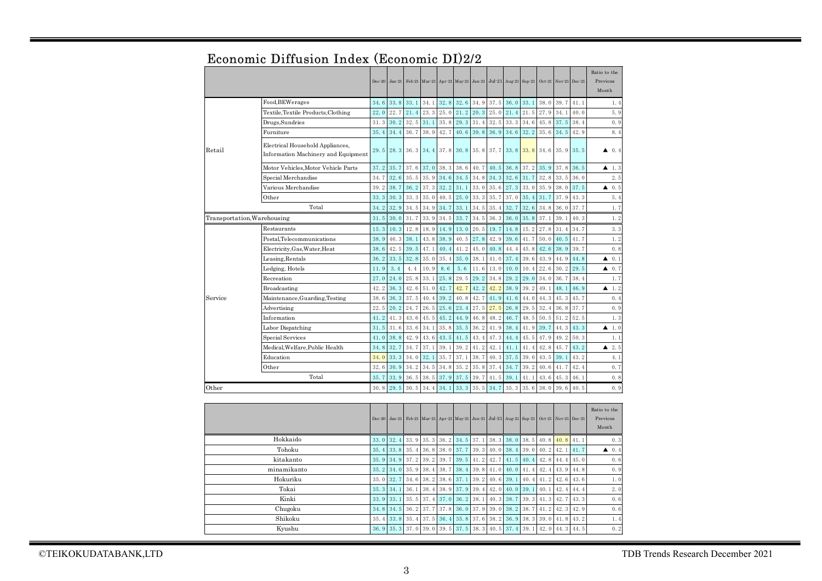|                                       |                                                                         | $Dec-20$ |      |      |           |               |      |           | Jan-21 Feb-21 Mar-21 Apr-21 May-21 Jun-21 Jul-21 Aug-21 Sep-21 Oct-21 Nov-21 Dec-21 |      |      |      |      |      | Ratio to the<br>Previous<br>Month |
|---------------------------------------|-------------------------------------------------------------------------|----------|------|------|-----------|---------------|------|-----------|-------------------------------------------------------------------------------------|------|------|------|------|------|-----------------------------------|
|                                       | Food, BEWerages                                                         | 34.6     | 33.8 | 33.1 | 34.1      | 32.8          | 32.6 | 34.9      | 37.5                                                                                | 36.0 | 33.1 | 38.0 | 39.7 | 41.1 | 1.4                               |
|                                       | Textile, Textile Products, Clothing                                     | 22.0     | 22.7 | 21.4 | 23.3      | 25.0          | 21.2 | 20.3      | 25.0                                                                                | 21.4 | 21.5 | 27.9 | 34.1 | 40.0 | 5.9                               |
|                                       | Drugs,Sundries                                                          | 31.3     | 30.2 | 32.5 | 31.1      | 35.8          | 29.3 | 31.4      | 32.5                                                                                | 33.3 | 34.6 | 45.8 | 37.5 | 38.4 | 0.9                               |
|                                       | Furniture                                                               | 35.4     | 34.4 | 36.7 | 38.9      | 42.7          | 40.6 | 39.8      | 36.9                                                                                | 34.6 | 32.2 | 35.6 | 34.5 | 42.9 | 8.4                               |
| Retail                                | Electrical Household Appliances,<br>Information Machinery and Equipment | 29.5     | 28.3 | 36.3 | 34.4 37.8 |               | 30.8 | 35.8 37.7 |                                                                                     | 33.8 | 33.8 | 34.6 | 35.9 | 35.5 | 0.4<br>▲                          |
| Motor Vehicles.Motor Vehicle Parts    |                                                                         |          | 35.7 | 37.6 | 37.0      | 38.3          | 38.6 | 40.7      | 40.5                                                                                | 36.8 | 37.2 | 35.9 | 37.8 | 36.5 | ▲<br>1.3                          |
|                                       | Special Merchandise                                                     | 34.7     | 32.6 | 35.5 | 35.9      | 34.6          | 34.5 | 34.8      | 34.3                                                                                | 32.6 | 31.7 | 32.8 | 33.5 | 36.0 | 2.5                               |
|                                       | Various Merchandise                                                     | 39.2     | 38.7 | 36.2 | 37.3      | 32.2          | 31.1 | 33.0      | 35.6                                                                                | 27.3 | 33.0 | 35.9 | 38.0 | 37.5 | 0.5<br>▲                          |
|                                       | Other                                                                   | 33.3     | 30.3 | 33.3 | 35.0      | 40.5          | 25.0 | 33.3      | 35.7                                                                                | 37.0 | 35.4 | 31.7 | 37.9 | 43.3 | 5.4                               |
|                                       | Total                                                                   | 34.2     | 32.9 | 34.5 | 34.9      | 34.7          | 33.1 | 34.5      | 35.4                                                                                | 32.7 | 32.6 | 34.8 | 36.0 | 37.7 | 1.7                               |
| Transportation, Warehousing           | 31.5                                                                    | 30.0     | 31.7 | 33.9 | 34.5      | 33.7          | 34.5 | 36.3      | 36.0                                                                                | 35.8 | 37.1 | 39.1 | 40.3 | 1.2  |                                   |
|                                       | Restaurants                                                             | 15.3     | 10.3 | 12.8 | 18.9      | 14.9          | 13.0 | 20.5      | 19.7                                                                                | 14.8 | 15.2 | 27.8 | 31.4 | 34.7 | 3.3                               |
|                                       | 38.9                                                                    | 46.3     | 38.1 | 43.8 | 38.9      | 40.5          | 27.8 | 42.9      | 39.6                                                                                | 41.7 | 50.0 | 40.5 | 41.7 | 1.2  |                                   |
| Electricity, Gas, Water, Heat<br>38.6 |                                                                         |          | 42.5 | 39.5 | 47.1      | 40.4          | 41.2 | 45.0      | 40.8                                                                                | 44.4 | 45.8 | 42.6 | 38.9 | 39.7 | 0.8                               |
|                                       | Leasing, Rentals                                                        | 36.2     | 33.5 | 32.8 | 35.0      | 35.4          | 35.0 | 38.1      | 41.0                                                                                | 37.4 | 39.6 | 43.9 | 44.9 | 44.8 | 0.1<br>▲                          |
|                                       | Lodging, Hotels                                                         | 11.9     | 3.4  | 4.4  | 10.9      | 8.6           | 5.6  | 11.6      | 13.0                                                                                | 10.0 | 10.4 | 22.6 | 30.2 | 29.5 | 0.7<br>▲                          |
|                                       | Recreation                                                              | 27.0     | 24.0 | 25.8 | 33.1      | 25.8          | 29.5 | 29.2      | 34.8                                                                                | 29.2 | 29.0 | 34.0 | 36.7 | 38.4 | 1.7                               |
|                                       | Broadcasting                                                            | 42.2     | 36.3 | 42.6 | 51.0      | 42.7          | 42.7 | 42.2      | 42.2                                                                                | 38.9 | 39.2 | 49.1 | 48.1 | 46.9 | $\blacktriangle$ 1.2              |
| Service                               | Maintenance, Guarding, Testing                                          | 38.6     | 36.3 | 37.5 | 40.4      | 39.2          | 40.8 | 42.7      | 41.9                                                                                | 41.6 | 44.0 | 44.3 | 45.3 | 45.7 | 0.4                               |
|                                       | Advertising                                                             | 22.5     | 20.2 | 24.7 | 26.5      | 25.6          | 23.4 | 27.5      | 27.5                                                                                | 26.8 | 29.5 | 32.4 | 36.8 | 37.7 | 0.9                               |
|                                       | Information                                                             | 41.2     | 41.3 | 43.6 | 45.5      | 45.2          | 44.9 | 46.8      | 48.2                                                                                | 46.7 | 48.5 | 50.5 | 51.2 | 52.5 | 1.3                               |
|                                       | Labor Dispatching                                                       | 31.5     | 31.6 | 33.6 | 34.1      | 35.8          | 35.5 | 36.2      | 41.9                                                                                | 38.4 | 41.9 | 39.7 | 44.3 | 43.3 | 1.0<br>▲                          |
|                                       | Special Services                                                        | 41.0     | 38.8 | 42.9 |           | $43.6$ $43.5$ | 41.5 | 43.4      | 47.3                                                                                | 44.4 | 45.5 | 47.9 | 49.2 | 50.3 | 1.1                               |
|                                       | Medical, Welfare, Public Health                                         | 34.8     | 32.7 | 34.7 | 37.1      | 39.1          | 39.2 | 41.2      | 42.1                                                                                | 41.1 | 41.4 | 42.8 | 45.7 | 43.2 | 2.5<br>▲                          |
|                                       | Education                                                               | 34.0     | 33.3 | 34.0 | 32.1      | 35.7          | 37.1 | 38.7      | 40.3                                                                                | 37.5 | 39.0 | 43.5 | 39.1 | 43.2 | 4.1                               |
|                                       | Other                                                                   | 32.6     | 30.9 | 34.2 | 34.5      | 34.8          | 35.2 | 35.8      | 37.4                                                                                | 34.7 | 39.2 | 40.6 | 41.7 | 42.4 | 0.7                               |
|                                       | 35.7                                                                    | 33.9     | 36.5 | 38.5 | 37.9      | 37.5          | 39.7 | 41.5      | 39.1                                                                                | 41.1 | 43.6 | 45.3 | 46.1 | 0.8  |                                   |
| Other                                 | 30.8                                                                    | 29.5     | 30.5 | 34.4 | 34.1      | 33.3          | 35.5 | 34.7      | 35.3                                                                                | 35.6 | 38.0 | 39.6 | 40.5 | 0.9  |                                   |
|                                       |                                                                         |          |      |      |           |               |      |           |                                                                                     |      |      |      |      |      |                                   |
|                                       |                                                                         | $Dec-20$ |      |      |           |               |      |           | Jan-21 Feb-21 Mar-21 Apr-21 May-21 Jun-21 Jul-21 Aug-21 Sep-21 Oct-21 Nov-21 Dec-21 |      |      |      |      |      | Ratio to the<br>Previous<br>Month |

# Economic Diffusion Index (Economic DI)2/2

|             |             |  |  |  | Dec-20 Jan-21 Feb-21 Mar-21 Apr-21 May-21 Jun-21 Jul-21 Aug-21 Sep-21 Oct-21 Nov-21 Dec-21 |  |  | Ratio to the<br>Previous<br>Month |
|-------------|-------------|--|--|--|--------------------------------------------------------------------------------------------|--|--|-----------------------------------|
| Hokkaido    |             |  |  |  | 33. 0 32. 4 33. 9 35. 3 36. 2 34. 5 37. 1 38. 3 38. 0 38. 5 40. 8 40. 8 41. 1              |  |  | 0.3                               |
| Tohoku      |             |  |  |  | 35. 4 33. 8 35. 4 36. 8 38. 0 37. 7 39. 3 40. 0 38. 4 39. 0 40. 2 42. 1 41. 7              |  |  | $\triangle$ 0.4                   |
| kitakanto   |             |  |  |  | 35, 9 34, 9 37, 2 39, 2 39, 7 39, 5 41, 2 42, 7 41, 5 40, 4 42, 8 44, 4 45, 0              |  |  | 0.6                               |
| minamikanto |             |  |  |  | 35, 2 34, 0 35, 9 38, 4 38, 7 38, 4 39, 8 41, 0 40, 0 41, 4 42, 4 43, 9 44, 8              |  |  | 0.9                               |
| Hokuriku    |             |  |  |  | 35. 0 32. 7 34. 6 38. 2 38. 6 37. 1 39. 2 40. 6 39. 1 40. 4 41. 2 42. 6 43. 6              |  |  | 1.0                               |
| Tokai       | $35.3$ 34.1 |  |  |  | $\vert$ 36, 1 38, 4 38, 9 37, 9 39, 4 42, 0 40, 0 39, 1 40, 1 42, 4 44, 4                  |  |  | 2.0                               |
| Kinki       |             |  |  |  | 33. 9 33. 1 35. 5 37. 4 37. 0 36. 2 38. 1 40. 3 38. 7 39. 3 41. 3 42. 7 43. 3              |  |  | 0.6                               |
| Chugoku     |             |  |  |  | 34, 8 34, 5 36, 2 37, 7 37, 8 36, 0 37, 9 39, 0 38, 2 38, 7 41, 2 42, 3 42, 9              |  |  | 0.6                               |
| Shikoku     |             |  |  |  | 35. 4 33. 8 35. 4 37. 5 36. 4 35. 8 37. 6 38. 2 36. 9 38. 3 39. 0 41. 8 43. 2              |  |  | 1.4                               |
| Kyushu      |             |  |  |  | 36. 9 35. 3 37. 0 39. 0 39. 5 37. 5 38. 3 40. 5 37. 4 39. 1 42. 0 44. 3 44. 5              |  |  | 0.2                               |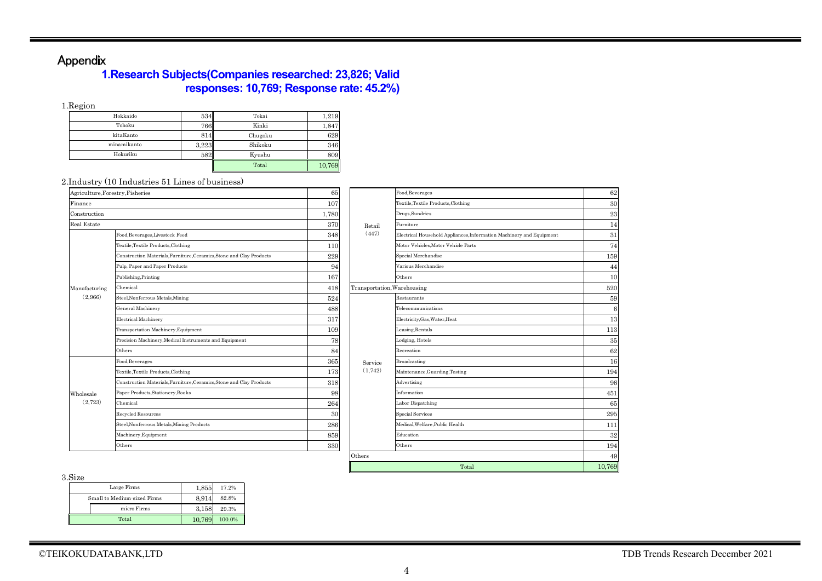# Appendix

## **1.Research Subjects(Companies researched: 23,826; Valid responses: 10,769; Response rate: 45.2%)**

1.Region

| $\sim$      |       |         |        |
|-------------|-------|---------|--------|
| Hokkaido    | 534   | Tokai   | 1,219  |
| Tohoku      | 766   | Kinki   | 1,847  |
| kitaKanto   | 814   | Chugoku | 629    |
| minamikanto | 3,223 | Shikoku | 346    |
| Hokuriku    | 582   | Kyushu  | 809    |
|             |       | Total   | 10,769 |

#### 2.Industry (10 Industries 51 Lines of business)

| Agriculture, Forestry, Fisheries |                                                                      | 65    |                             | Food.Beverages          |  |
|----------------------------------|----------------------------------------------------------------------|-------|-----------------------------|-------------------------|--|
| Finance                          |                                                                      | 107   |                             | Textile.Textile Produ   |  |
| Construction                     |                                                                      | 1,780 |                             | Drugs, Sundries         |  |
| Real Estate                      |                                                                      | 370   | Retail                      | Furniture               |  |
|                                  | Food, Beverages, Livestock Feed                                      | 348   | (447)                       | Electrical Household    |  |
|                                  | Textile, Textile Products, Clothing                                  | 110   |                             | Motor Vehicles, Moto    |  |
|                                  | Construction Materials, Furniture, Ceramics, Stone and Clay Products | 229   |                             | Special Merchandise     |  |
| Manufacturing<br>(2.966)         | Pulp, Paper and Paper Products                                       | 94    |                             | Various Merchandis      |  |
|                                  | Publishing, Printing                                                 | 167   |                             | Others                  |  |
|                                  | Chemical                                                             | 418   | Transportation, Warehousing |                         |  |
|                                  | Steel, Nonferrous Metals, Mining                                     | 524   |                             | Restaurants             |  |
|                                  | General Machinery                                                    | 488   |                             | Telecommunications      |  |
|                                  | <b>Electrical Machinery</b>                                          | 317   |                             | Electricity, Gas, Wate  |  |
|                                  | Transportation Machinery, Equipment                                  | 109   |                             | Leasing, Rentals        |  |
|                                  | Precision Machinery, Medical Instruments and Equipment               | 78    |                             | Lodging, Hotels         |  |
|                                  | Others                                                               | 84    |                             | Recreation              |  |
|                                  | Food, Beverages                                                      | 365   | Service                     | Broadcasting            |  |
|                                  | Textile, Textile Products, Clothing                                  | 173   | (1, 742)                    | Maintenance, Guard      |  |
|                                  | Construction Materials, Furniture, Ceramics, Stone and Clay Products | 318   |                             | Advertising             |  |
| Wholesale                        | Paper Products, Stationery, Books                                    | 98    |                             | Information             |  |
| (2,723)                          | Chemical                                                             | 264   |                             | Labor Dispatching       |  |
|                                  | Recycled Resources                                                   | 30    |                             | <b>Special Services</b> |  |
|                                  | Steel, Nonferrous Metals, Mining Products                            | 286   |                             | Medical, Welfare, Pul   |  |
|                                  | Machinery, Equipment                                                 | 859   |                             | Education               |  |
|                                  | Others                                                               | 330   |                             | Others                  |  |

| try, Fisheries                                                       | 65    |                             | Food, Beverages                                                      | 62     |
|----------------------------------------------------------------------|-------|-----------------------------|----------------------------------------------------------------------|--------|
|                                                                      | 107   |                             | Textile, Textile Products, Clothing                                  | 30     |
|                                                                      | 1,780 |                             | Drugs, Sundries                                                      | 23     |
|                                                                      | 370   | Retail                      | Furniture                                                            | 14     |
| Food, Beverages, Livestock Feed                                      | 348   | (447)                       | Electrical Household Appliances, Information Machinery and Equipment | 31     |
| Textile, Textile Products, Clothing                                  | 110   |                             | Motor Vehicles, Motor Vehicle Parts                                  | 74     |
| Construction Materials, Furniture, Ceramics, Stone and Clay Products | 229   |                             | Special Merchandise                                                  | 159    |
| Pulp, Paper and Paper Products                                       | 94    |                             | Various Merchandise                                                  | 44     |
| Publishing, Printing                                                 | 167   |                             | Others                                                               | 10     |
| Chemical                                                             | 418   | Transportation, Warehousing |                                                                      | 520    |
| Steel, Nonferrous Metals, Mining                                     | 524   |                             | Restaurants                                                          | 59     |
| General Machinery                                                    | 488   |                             | Telecommunications                                                   | 6      |
| <b>Electrical Machinery</b>                                          | 317   |                             | Electricity, Gas, Water, Heat                                        | 13     |
| Transportation Machinery, Equipment                                  | 109   |                             | Leasing, Rentals                                                     | 113    |
| Precision Machinery, Medical Instruments and Equipment               | 78    |                             | Lodging, Hotels                                                      | 35     |
| Others                                                               | 84    |                             | Recreation                                                           | 62     |
| Food, Beverages                                                      | 365   | Service                     | Broadcasting                                                         | 16     |
| Textile, Textile Products, Clothing                                  | 173   | (1,742)                     | Maintenance, Guarding, Testing                                       | 194    |
| Construction Materials, Furniture, Ceramics, Stone and Clay Products | 318   |                             | Advertising                                                          | 96     |
| Paper Products, Stationery, Books                                    | 98    |                             | Information                                                          | 451    |
| Chemical                                                             | 264   |                             | Labor Dispatching                                                    | 65     |
| Recycled Resources                                                   | 30    |                             | <b>Special Services</b>                                              | 295    |
| Steel, Nonferrous Metals, Mining Products                            | 286   |                             | Medical.Welfare.Public Health                                        | 111    |
| Machinery, Equipment                                                 | 859   |                             | Education                                                            | 32     |
| Others                                                               | 330   |                             | Others                                                               | 194    |
|                                                                      |       | Others                      |                                                                      | 49     |
|                                                                      |       |                             | Total                                                                | 10,769 |

3.Size

| ◡∸⊷                         |        |        |
|-----------------------------|--------|--------|
| Large Firms                 | 1.855  | 17.2%  |
| Small to Medium-sized Firms | 8.914  | 82.8%  |
| micro Firms                 | 3.158  | 29.3%  |
| Total                       | 10.769 | 100.0% |